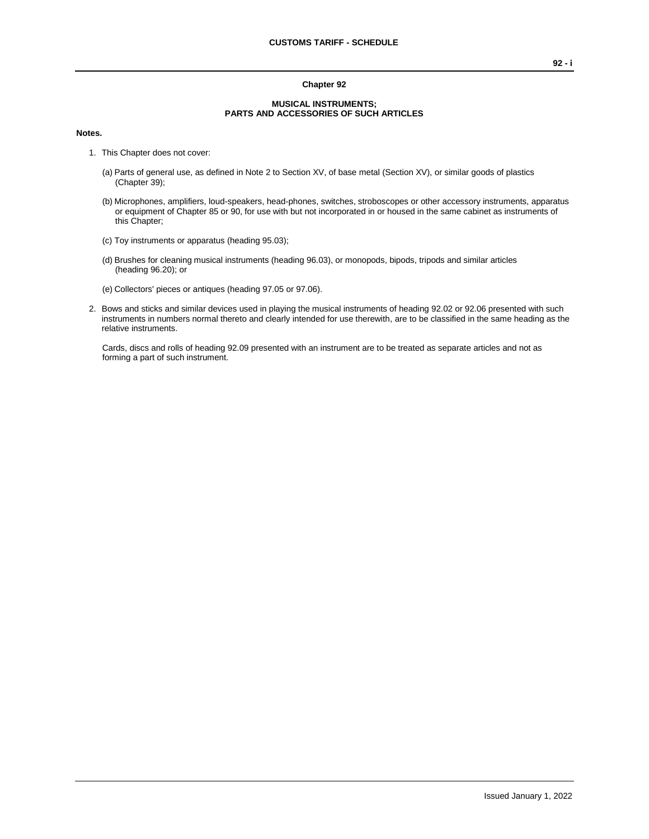## **Chapter 92**

## **MUSICAL INSTRUMENTS; PARTS AND ACCESSORIES OF SUCH ARTICLES**

## **Notes.**

- 1. This Chapter does not cover:
	- (a) Parts of general use, as defined in Note 2 to Section XV, of base metal (Section XV), or similar goods of plastics (Chapter 39);
	- (b) Microphones, amplifiers, loud-speakers, head-phones, switches, stroboscopes or other accessory instruments, apparatus or equipment of Chapter 85 or 90, for use with but not incorporated in or housed in the same cabinet as instruments of this Chapter;
	- (c) Toy instruments or apparatus (heading 95.03);
	- (d) Brushes for cleaning musical instruments (heading 96.03), or monopods, bipods, tripods and similar articles (heading 96.20); or
	- (e) Collectors' pieces or antiques (heading 97.05 or 97.06).
- 2. Bows and sticks and similar devices used in playing the musical instruments of heading 92.02 or 92.06 presented with such instruments in numbers normal thereto and clearly intended for use therewith, are to be classified in the same heading as the relative instruments.

Cards, discs and rolls of heading 92.09 presented with an instrument are to be treated as separate articles and not as forming a part of such instrument.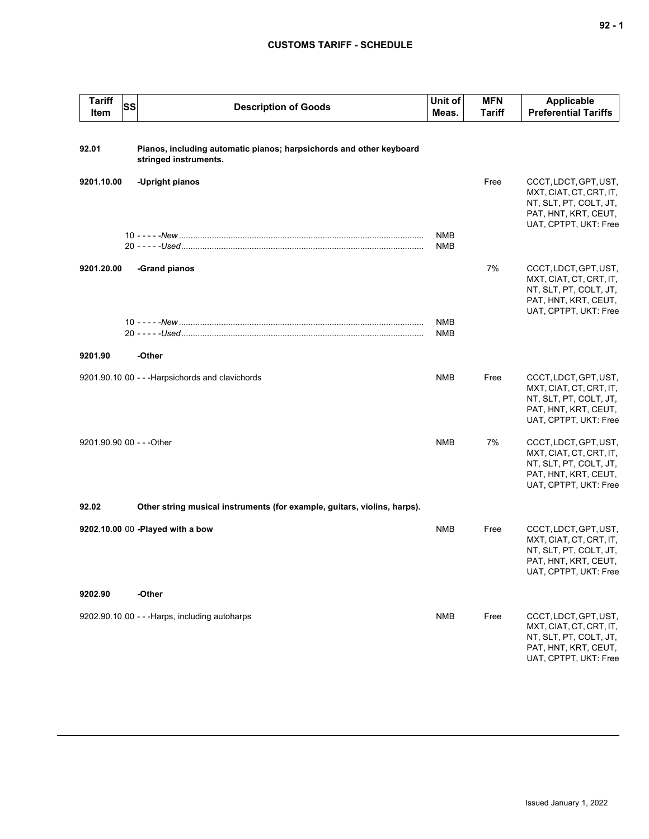## **CUSTOMS TARIFF - SCHEDULE**

| <b>Tariff</b><br>Item     | SS | <b>Description of Goods</b>                                                                  | Unit of<br>Meas.         | <b>MFN</b><br><b>Tariff</b> | <b>Applicable</b><br><b>Preferential Tariffs</b>                                                                            |
|---------------------------|----|----------------------------------------------------------------------------------------------|--------------------------|-----------------------------|-----------------------------------------------------------------------------------------------------------------------------|
| 92.01                     |    | Pianos, including automatic pianos; harpsichords and other keyboard<br>stringed instruments. |                          |                             |                                                                                                                             |
| 9201.10.00                |    | -Upright pianos                                                                              |                          | Free                        | CCCT, LDCT, GPT, UST,<br>MXT, CIAT, CT, CRT, IT,<br>NT, SLT, PT, COLT, JT,<br>PAT, HNT, KRT, CEUT,<br>UAT, CPTPT, UKT: Free |
|                           |    |                                                                                              | <b>NMB</b><br><b>NMB</b> |                             |                                                                                                                             |
| 9201.20.00                |    | -Grand pianos                                                                                |                          | 7%                          | CCCT, LDCT, GPT, UST,<br>MXT, CIAT, CT, CRT, IT,<br>NT, SLT, PT, COLT, JT,<br>PAT, HNT, KRT, CEUT,<br>UAT, CPTPT, UKT: Free |
|                           |    |                                                                                              | <b>NMB</b><br><b>NMB</b> |                             |                                                                                                                             |
| 9201.90                   |    | -Other                                                                                       |                          |                             |                                                                                                                             |
|                           |    | 9201.90.10 00 - - - Harpsichords and clavichords                                             | <b>NMB</b>               | Free                        | CCCT, LDCT, GPT, UST,<br>MXT, CIAT, CT, CRT, IT,<br>NT, SLT, PT, COLT, JT,<br>PAT, HNT, KRT, CEUT,<br>UAT, CPTPT, UKT: Free |
| 9201.90.90 00 - - - Other |    |                                                                                              | <b>NMB</b>               | 7%                          | CCCT, LDCT, GPT, UST,<br>MXT, CIAT, CT, CRT, IT,<br>NT, SLT, PT, COLT, JT,<br>PAT, HNT, KRT, CEUT,<br>UAT, CPTPT, UKT: Free |
| 92.02                     |    | Other string musical instruments (for example, guitars, violins, harps).                     |                          |                             |                                                                                                                             |
|                           |    | 9202.10.00 00 -Played with a bow                                                             | <b>NMB</b>               | Free                        | CCCT, LDCT, GPT, UST,<br>MXT, CIAT, CT, CRT, IT,<br>NT, SLT, PT, COLT, JT,<br>PAT, HNT, KRT, CEUT,<br>UAT, CPTPT, UKT: Free |
| 9202.90                   |    | -Other                                                                                       |                          |                             |                                                                                                                             |
|                           |    | 9202.90.10 00 - - - Harps, including autoharps                                               | <b>NMB</b>               | Free                        | CCCT, LDCT, GPT, UST,<br>MXT, CIAT, CT, CRT, IT,<br>NT, SLT, PT, COLT, JT,<br>PAT, HNT, KRT, CEUT,<br>UAT, CPTPT, UKT: Free |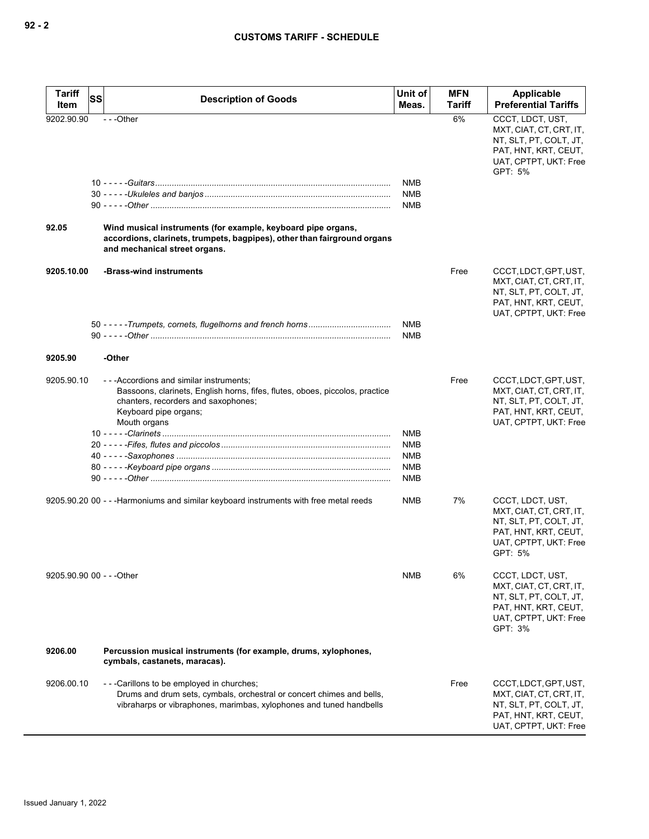| <b>Tariff</b><br>Item     | <b>SS</b><br><b>Description of Goods</b>                                                                                                                                                                  | Unit of<br>Meas.                                                   | <b>MFN</b><br>Tariff | Applicable<br><b>Preferential Tariffs</b>                                                                                         |
|---------------------------|-----------------------------------------------------------------------------------------------------------------------------------------------------------------------------------------------------------|--------------------------------------------------------------------|----------------------|-----------------------------------------------------------------------------------------------------------------------------------|
| 9202.90.90<br>92.05       | $- -$ Other<br>Wind musical instruments (for example, keyboard pipe organs,<br>accordions, clarinets, trumpets, bagpipes), other than fairground organs<br>and mechanical street organs.                  | <b>NMB</b><br><b>NMB</b><br><b>NMB</b>                             | 6%                   | CCCT, LDCT, UST,<br>MXT, CIAT, CT, CRT, IT,<br>NT, SLT, PT, COLT, JT,<br>PAT, HNT, KRT, CEUT,<br>UAT, CPTPT, UKT: Free<br>GPT: 5% |
| 9205.10.00                | -Brass-wind instruments                                                                                                                                                                                   | <b>NMB</b>                                                         | Free                 | CCCT, LDCT, GPT, UST,<br>MXT, CIAT, CT, CRT, IT,<br>NT, SLT, PT, COLT, JT,<br>PAT, HNT, KRT, CEUT,<br>UAT, CPTPT, UKT: Free       |
| 9205.90                   | -Other                                                                                                                                                                                                    | <b>NMB</b>                                                         |                      |                                                                                                                                   |
| 9205.90.10                | - - - Accordions and similar instruments;<br>Bassoons, clarinets, English horns, fifes, flutes, oboes, piccolos, practice<br>chanters, recorders and saxophones;<br>Keyboard pipe organs;<br>Mouth organs | <b>NMB</b><br><b>NMB</b><br><b>NMB</b><br><b>NMB</b><br><b>NMB</b> | Free                 | CCCT, LDCT, GPT, UST,<br>MXT, CIAT, CT, CRT, IT,<br>NT, SLT, PT, COLT, JT,<br>PAT, HNT, KRT, CEUT,<br>UAT, CPTPT, UKT: Free       |
|                           | 9205.90.20 00 - - - Harmoniums and similar keyboard instruments with free metal reeds                                                                                                                     | NMB                                                                | 7%                   | CCCT, LDCT, UST,<br>MXT, CIAT, CT, CRT, IT,<br>NT, SLT, PT, COLT, JT,<br>PAT, HNT, KRT, CEUT,<br>UAT, CPTPT, UKT: Free<br>GPT: 5% |
| 9205.90.90 00 - - - Other |                                                                                                                                                                                                           | <b>NMB</b>                                                         | 6%                   | CCCT, LDCT, UST,<br>MXT, CIAT, CT, CRT, IT,<br>NT, SLT, PT, COLT, JT,<br>PAT, HNT, KRT, CEUT,<br>UAT, CPTPT, UKT: Free<br>GPT: 3% |
| 9206.00                   | Percussion musical instruments (for example, drums, xylophones,<br>cymbals, castanets, maracas).                                                                                                          |                                                                    |                      |                                                                                                                                   |
| 9206.00.10                | ---Carillons to be employed in churches;<br>Drums and drum sets, cymbals, orchestral or concert chimes and bells,<br>vibraharps or vibraphones, marimbas, xylophones and tuned handbells                  |                                                                    | Free                 | CCCT, LDCT, GPT, UST,<br>MXT, CIAT, CT, CRT, IT,<br>NT, SLT, PT, COLT, JT,<br>PAT, HNT, KRT, CEUT,<br>UAT, CPTPT, UKT: Free       |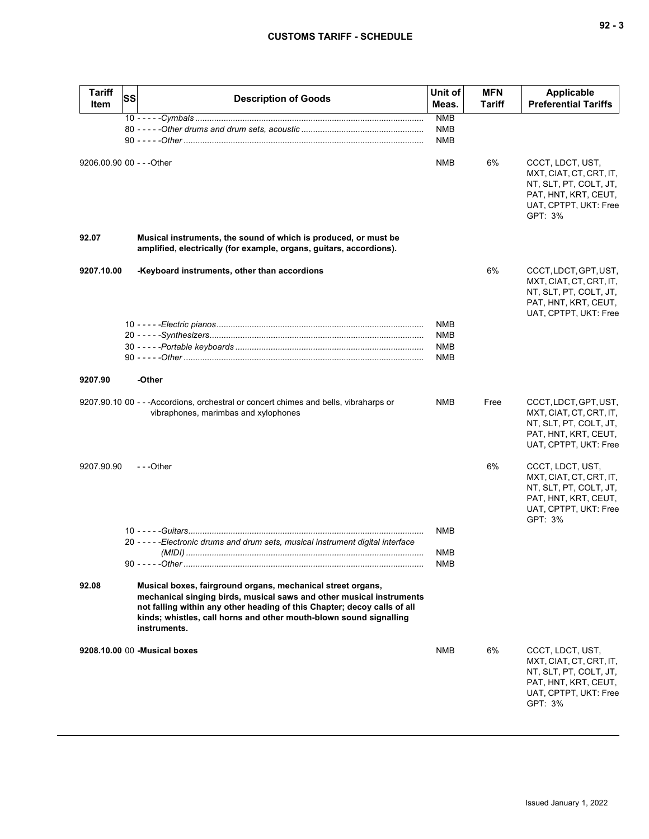| × |  | v<br>۰. |
|---|--|---------|
|---|--|---------|

| <b>Tariff</b>             | <b>SS</b> | <b>Description of Goods</b>                                                                                                                                                                                                                                                                           | Unit of<br>Meas.         | <b>MFN</b><br>Tariff | Applicable<br><b>Preferential Tariffs</b>                                                                                         |
|---------------------------|-----------|-------------------------------------------------------------------------------------------------------------------------------------------------------------------------------------------------------------------------------------------------------------------------------------------------------|--------------------------|----------------------|-----------------------------------------------------------------------------------------------------------------------------------|
| Item                      |           |                                                                                                                                                                                                                                                                                                       |                          |                      |                                                                                                                                   |
|                           |           |                                                                                                                                                                                                                                                                                                       | <b>NMB</b><br><b>NMB</b> |                      |                                                                                                                                   |
|                           |           |                                                                                                                                                                                                                                                                                                       | <b>NMB</b>               |                      |                                                                                                                                   |
|                           |           |                                                                                                                                                                                                                                                                                                       |                          |                      |                                                                                                                                   |
| 9206.00.90 00 - - - Other |           |                                                                                                                                                                                                                                                                                                       | <b>NMB</b>               | 6%                   | CCCT, LDCT, UST,<br>MXT, CIAT, CT, CRT, IT,<br>NT, SLT, PT, COLT, JT,<br>PAT, HNT, KRT, CEUT,<br>UAT, CPTPT, UKT: Free<br>GPT: 3% |
| 92.07                     |           | Musical instruments, the sound of which is produced, or must be<br>amplified, electrically (for example, organs, guitars, accordions).                                                                                                                                                                |                          |                      |                                                                                                                                   |
| 9207.10.00                |           | -Keyboard instruments, other than accordions                                                                                                                                                                                                                                                          |                          | 6%                   | CCCT, LDCT, GPT, UST,<br>MXT, CIAT, CT, CRT, IT,<br>NT, SLT, PT, COLT, JT,<br>PAT, HNT, KRT, CEUT,<br>UAT, CPTPT, UKT: Free       |
|                           |           |                                                                                                                                                                                                                                                                                                       | <b>NMB</b>               |                      |                                                                                                                                   |
|                           |           |                                                                                                                                                                                                                                                                                                       | <b>NMB</b><br><b>NMB</b> |                      |                                                                                                                                   |
|                           |           |                                                                                                                                                                                                                                                                                                       | <b>NMB</b>               |                      |                                                                                                                                   |
|                           |           |                                                                                                                                                                                                                                                                                                       |                          |                      |                                                                                                                                   |
| 9207.90                   |           | -Other                                                                                                                                                                                                                                                                                                |                          |                      |                                                                                                                                   |
|                           |           | 9207.90.10 00 - - - Accordions, orchestral or concert chimes and bells, vibraharps or<br>vibraphones, marimbas and xylophones                                                                                                                                                                         | <b>NMB</b>               | Free                 | CCCT, LDCT, GPT, UST,<br>MXT, CIAT, CT, CRT, IT,<br>NT, SLT, PT, COLT, JT,<br>PAT, HNT, KRT, CEUT,<br>UAT, CPTPT, UKT: Free       |
| 9207.90.90                |           | ---Other                                                                                                                                                                                                                                                                                              |                          | 6%                   | CCCT, LDCT, UST,<br>MXT, CIAT, CT, CRT, IT,<br>NT, SLT, PT, COLT, JT,<br>PAT, HNT, KRT, CEUT,<br>UAT, CPTPT, UKT: Free<br>GPT: 3% |
|                           |           |                                                                                                                                                                                                                                                                                                       | <b>NMB</b>               |                      |                                                                                                                                   |
|                           |           | 20 - - - - - Electronic drums and drum sets, musical instrument digital interface                                                                                                                                                                                                                     |                          |                      |                                                                                                                                   |
|                           |           |                                                                                                                                                                                                                                                                                                       | NMB                      |                      |                                                                                                                                   |
|                           |           |                                                                                                                                                                                                                                                                                                       | <b>NMB</b>               |                      |                                                                                                                                   |
| 92.08                     |           | Musical boxes, fairground organs, mechanical street organs,<br>mechanical singing birds, musical saws and other musical instruments<br>not falling within any other heading of this Chapter; decoy calls of all<br>kinds; whistles, call horns and other mouth-blown sound signalling<br>instruments. |                          |                      |                                                                                                                                   |
|                           |           | 9208.10.00 00 - Musical boxes                                                                                                                                                                                                                                                                         | <b>NMB</b>               | 6%                   | CCCT, LDCT, UST,<br>MXT, CIAT, CT, CRT, IT,<br>NT, SLT, PT, COLT, JT,<br>PAT, HNT, KRT, CEUT,<br>UAT, CPTPT, UKT: Free<br>GPT: 3% |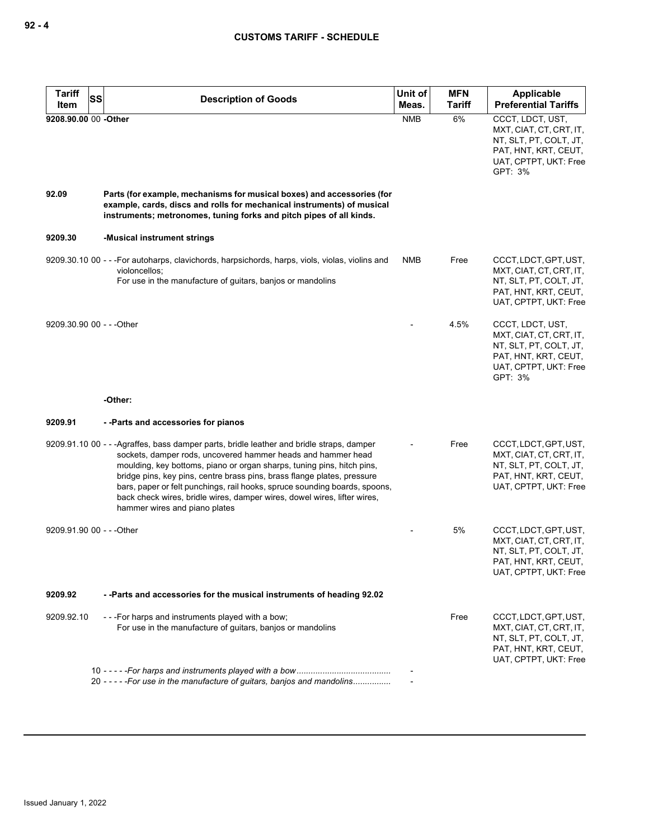| <b>Tariff</b><br>SS<br>Item | <b>Description of Goods</b>                                                                                                                                                                                                                                                                                                                                                                                                                                                                              | Unit of<br>Meas. | <b>MFN</b><br><b>Tariff</b> | Applicable<br><b>Preferential Tariffs</b>                                                                                         |
|-----------------------------|----------------------------------------------------------------------------------------------------------------------------------------------------------------------------------------------------------------------------------------------------------------------------------------------------------------------------------------------------------------------------------------------------------------------------------------------------------------------------------------------------------|------------------|-----------------------------|-----------------------------------------------------------------------------------------------------------------------------------|
| 9208.90.00 00 -Other        |                                                                                                                                                                                                                                                                                                                                                                                                                                                                                                          | <b>NMB</b>       | 6%                          | CCCT, LDCT, UST,<br>MXT, CIAT, CT, CRT, IT,<br>NT, SLT, PT, COLT, JT,<br>PAT, HNT, KRT, CEUT,<br>UAT, CPTPT, UKT: Free<br>GPT: 3% |
| 92.09                       | Parts (for example, mechanisms for musical boxes) and accessories (for<br>example, cards, discs and rolls for mechanical instruments) of musical<br>instruments; metronomes, tuning forks and pitch pipes of all kinds.                                                                                                                                                                                                                                                                                  |                  |                             |                                                                                                                                   |
| 9209.30                     | -Musical instrument strings                                                                                                                                                                                                                                                                                                                                                                                                                                                                              |                  |                             |                                                                                                                                   |
|                             | 9209.30.10 00 - - - For autoharps, clavichords, harpsichords, harps, viols, violas, violins and<br>violoncellos;<br>For use in the manufacture of guitars, banjos or mandolins                                                                                                                                                                                                                                                                                                                           | <b>NMB</b>       | Free                        | CCCT, LDCT, GPT, UST,<br>MXT, CIAT, CT, CRT, IT,<br>NT, SLT, PT, COLT, JT,<br>PAT, HNT, KRT, CEUT,<br>UAT, CPTPT, UKT: Free       |
| 9209.30.90 00 - - - Other   |                                                                                                                                                                                                                                                                                                                                                                                                                                                                                                          |                  | 4.5%                        | CCCT, LDCT, UST,<br>MXT, CIAT, CT, CRT, IT,<br>NT, SLT, PT, COLT, JT,<br>PAT, HNT, KRT, CEUT,<br>UAT, CPTPT, UKT: Free<br>GPT: 3% |
|                             | -Other:                                                                                                                                                                                                                                                                                                                                                                                                                                                                                                  |                  |                             |                                                                                                                                   |
| 9209.91                     | --Parts and accessories for pianos                                                                                                                                                                                                                                                                                                                                                                                                                                                                       |                  |                             |                                                                                                                                   |
|                             | 9209.91.10 00 - - -Agraffes, bass damper parts, bridle leather and bridle straps, damper<br>sockets, damper rods, uncovered hammer heads and hammer head<br>moulding, key bottoms, piano or organ sharps, tuning pins, hitch pins,<br>bridge pins, key pins, centre brass pins, brass flange plates, pressure<br>bars, paper or felt punchings, rail hooks, spruce sounding boards, spoons,<br>back check wires, bridle wires, damper wires, dowel wires, lifter wires,<br>hammer wires and piano plates |                  | Free                        | CCCT, LDCT, GPT, UST,<br>MXT, CIAT, CT, CRT, IT,<br>NT, SLT, PT, COLT, JT,<br>PAT, HNT, KRT, CEUT,<br>UAT, CPTPT, UKT: Free       |
| 9209.91.90 00 - - - Other   |                                                                                                                                                                                                                                                                                                                                                                                                                                                                                                          |                  | 5%                          | CCCT, LDCT, GPT, UST,<br>MXT, CIAT, CT, CRT, IT,<br>NT, SLT, PT, COLT, JT,<br>PAI, HNI, KRI, CEUI,<br>UAT, CPTPT, UKT: Free       |
| 9209.92                     | --Parts and accessories for the musical instruments of heading 92.02                                                                                                                                                                                                                                                                                                                                                                                                                                     |                  |                             |                                                                                                                                   |
| 9209.92.10                  | - - - For harps and instruments played with a bow;<br>For use in the manufacture of quitars, banjos or mandolins                                                                                                                                                                                                                                                                                                                                                                                         |                  | Free                        | CCCT, LDCT, GPT, UST,<br>MXT, CIAT, CT, CRT, IT,<br>NT, SLT, PT, COLT, JT,<br>PAT, HNT, KRT, CEUT,<br>UAT, CPTPT, UKT: Free       |
|                             | 20 - - - - - For use in the manufacture of guitars, banjos and mandolins                                                                                                                                                                                                                                                                                                                                                                                                                                 |                  |                             |                                                                                                                                   |